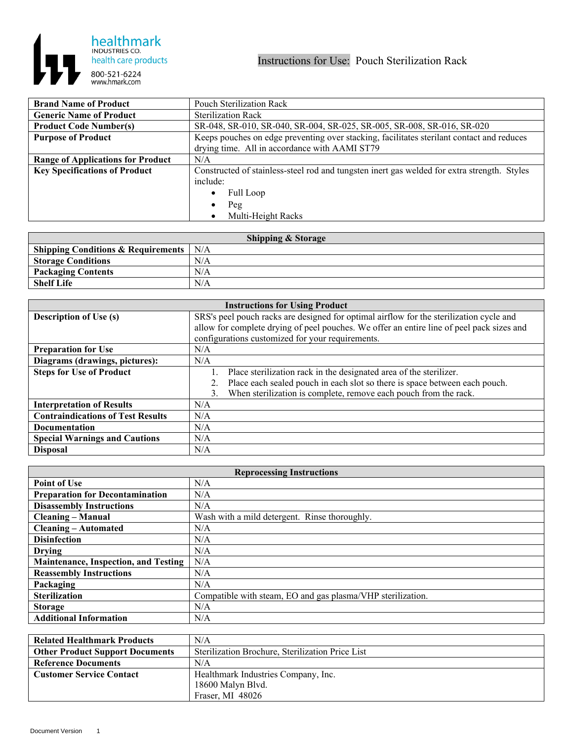

| <b>Brand Name of Product</b>             | <b>Pouch Sterilization Rack</b>                                                             |
|------------------------------------------|---------------------------------------------------------------------------------------------|
| <b>Generic Name of Product</b>           | <b>Sterilization Rack</b>                                                                   |
| <b>Product Code Number(s)</b>            | SR-048, SR-010, SR-040, SR-004, SR-025, SR-005, SR-008, SR-016, SR-020                      |
| <b>Purpose of Product</b>                | Keeps pouches on edge preventing over stacking, facilitates sterilant contact and reduces   |
|                                          | drying time. All in accordance with AAMI ST79                                               |
| <b>Range of Applications for Product</b> | N/A                                                                                         |
| <b>Key Specifications of Product</b>     | Constructed of stainless-steel rod and tungsten inert gas welded for extra strength. Styles |
|                                          | include:                                                                                    |
|                                          | Full Loop                                                                                   |
|                                          | Peg                                                                                         |
|                                          | Multi-Height Racks                                                                          |

| <b>Shipping &amp; Storage</b>                         |     |  |
|-------------------------------------------------------|-----|--|
| Shipping Conditions & Requirements $\mid N/A \rangle$ |     |  |
| <b>Storage Conditions</b>                             | N/A |  |
| <b>Packaging Contents</b>                             | N/A |  |
| <b>Shelf Life</b>                                     | N/A |  |

| <b>Instructions for Using Product</b>    |                                                                                           |  |
|------------------------------------------|-------------------------------------------------------------------------------------------|--|
| <b>Description of Use (s)</b>            | SRS's peel pouch racks are designed for optimal airflow for the sterilization cycle and   |  |
|                                          | allow for complete drying of peel pouches. We offer an entire line of peel pack sizes and |  |
|                                          | configurations customized for your requirements.                                          |  |
| <b>Preparation for Use</b>               | N/A                                                                                       |  |
| Diagrams (drawings, pictures):           | N/A                                                                                       |  |
| <b>Steps for Use of Product</b>          | Place sterilization rack in the designated area of the sterilizer.                        |  |
|                                          | Place each sealed pouch in each slot so there is space between each pouch.                |  |
|                                          | When sterilization is complete, remove each pouch from the rack.<br>$\mathcal{E}$         |  |
| <b>Interpretation of Results</b>         | N/A                                                                                       |  |
| <b>Contraindications of Test Results</b> | N/A                                                                                       |  |
| <b>Documentation</b>                     | N/A                                                                                       |  |
| <b>Special Warnings and Cautions</b>     | N/A                                                                                       |  |
| <b>Disposal</b>                          | N/A                                                                                       |  |

| <b>Reprocessing Instructions</b>            |                                                             |
|---------------------------------------------|-------------------------------------------------------------|
| <b>Point of Use</b>                         | N/A                                                         |
| <b>Preparation for Decontamination</b>      | N/A                                                         |
| <b>Disassembly Instructions</b>             | N/A                                                         |
| <b>Cleaning – Manual</b>                    | Wash with a mild detergent. Rinse thoroughly.               |
| <b>Cleaning – Automated</b>                 | N/A                                                         |
| <b>Disinfection</b>                         | N/A                                                         |
| <b>Drying</b>                               | N/A                                                         |
| <b>Maintenance, Inspection, and Testing</b> | N/A                                                         |
| <b>Reassembly Instructions</b>              | N/A                                                         |
| Packaging                                   | N/A                                                         |
| <b>Sterilization</b>                        | Compatible with steam, EO and gas plasma/VHP sterilization. |
| <b>Storage</b>                              | N/A                                                         |
| <b>Additional Information</b>               | N/A                                                         |

| <b>Related Healthmark Products</b>     | N/A                                              |
|----------------------------------------|--------------------------------------------------|
| <b>Other Product Support Documents</b> | Sterilization Brochure, Sterilization Price List |
| <b>Reference Documents</b>             | N/A                                              |
| <b>Customer Service Contact</b>        | Healthmark Industries Company, Inc.              |
|                                        | 18600 Malyn Blvd.                                |
|                                        | Fraser, MI 48026                                 |